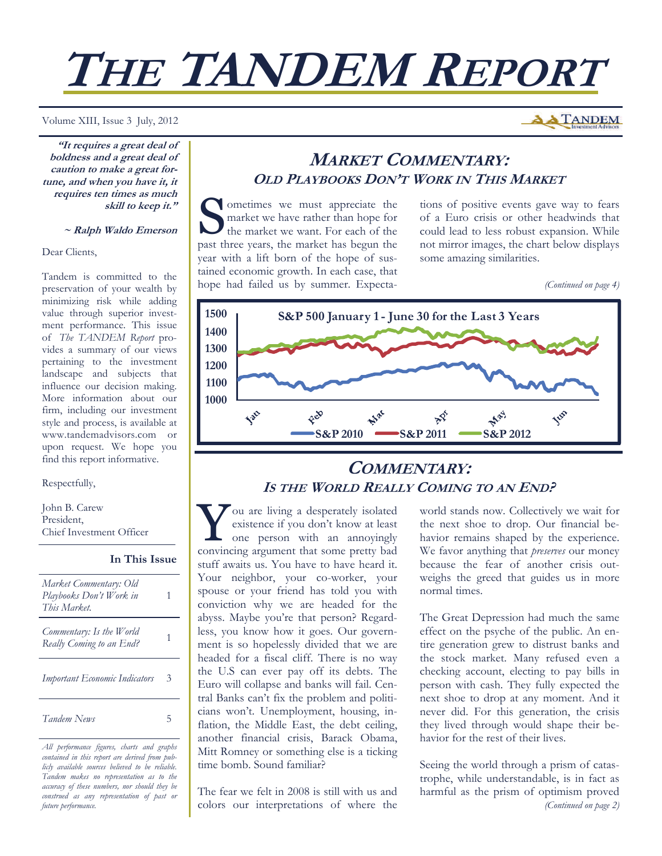# **THE TANDEM REPORT**

#### Volume XIII, Issue 3 July, 2012

**"It requires a great deal of boldness and a great deal of caution to make a great fortune, and when you have it, it requires ten times as much skill to keep it."** 

#### **~ Ralph Waldo Emerson**

#### Dear Clients,

Tandem is committed to the preservation of your wealth by minimizing risk while adding value through superior investment performance. This issue of *The TANDEM Report* provides a summary of our views pertaining to the investment landscape and subjects that influence our decision making. More information about our firm, including our investment style and process, is available at www.tandemadvisors.com or upon request. We hope you find this report informative.

## Respectfully,

John B. Carew President, Chief Investment Officer

**In This Issue**

| Market Commentary: Old<br>Playbooks Don't Work in<br>This Market |   |
|------------------------------------------------------------------|---|
| Commentary: Is the World<br>Really Coming to an End?             |   |
| <b>Important Economic Indicators</b>                             | 3 |
| Tandem News                                                      |   |

*All performance figures, charts and graphs contained in this report are derived from publicly available sources believed to be reliable. Tandem makes no representation as to the accuracy of these numbers, nor should they be construed as any representation of past or future performance.* 

## **MARKET COMMENTARY: OLD PLAYBOOKS DON'T WORK IN THIS MARKET**

Sometimes we must appreciate the<br>market we have rather than hope for<br>the market we want. For each of the market we have rather than hope for the market we want. For each of the past three years, the market has begun the year with a lift born of the hope of sustained economic growth. In each case, that hope had failed us by summer. Expecta-

tions of positive events gave way to fears of a Euro crisis or other headwinds that could lead to less robust expansion. While not mirror images, the chart below displays some amazing similarities.

*(Continued on page 4)* 

**A TANDEM** 



## **COMMENTARY: IS THE WORLD REALLY COMING TO AN END?**

Y ou are living a desperately isolated existence if you don't know at least one person with an annoyingly convincing argument that some pretty bad stuff awaits us. You have to have heard it. Your neighbor, your co-worker, your spouse or your friend has told you with conviction why we are headed for the abyss. Maybe you're that person? Regardless, you know how it goes. Our government is so hopelessly divided that we are headed for a fiscal cliff. There is no way the U.S can ever pay off its debts. The Euro will collapse and banks will fail. Central Banks can't fix the problem and politicians won't. Unemployment, housing, inflation, the Middle East, the debt ceiling, another financial crisis, Barack Obama, Mitt Romney or something else is a ticking time bomb. Sound familiar?

The fear we felt in 2008 is still with us and colors our interpretations of where the world stands now. Collectively we wait for the next shoe to drop. Our financial behavior remains shaped by the experience. We favor anything that *preserves* our money because the fear of another crisis outweighs the greed that guides us in more normal times.

The Great Depression had much the same effect on the psyche of the public. An entire generation grew to distrust banks and the stock market. Many refused even a checking account, electing to pay bills in person with cash. They fully expected the next shoe to drop at any moment. And it never did. For this generation, the crisis they lived through would shape their behavior for the rest of their lives.

Seeing the world through a prism of catastrophe, while understandable, is in fact as harmful as the prism of optimism proved *(Continued on page 2)*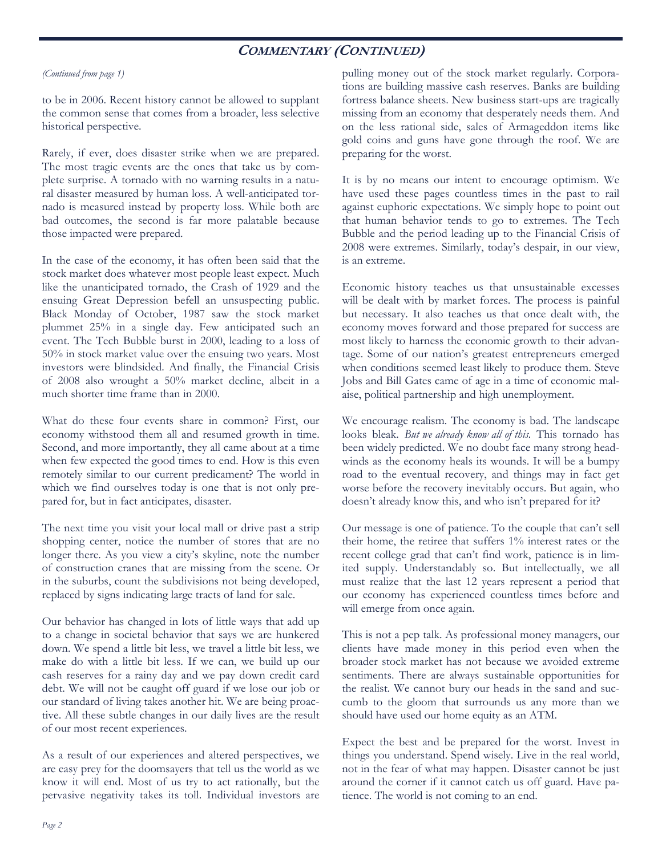## **COMMENTARY (CONTINUED)**

## *(Continued from page 1)*

to be in 2006. Recent history cannot be allowed to supplant the common sense that comes from a broader, less selective historical perspective.

Rarely, if ever, does disaster strike when we are prepared. The most tragic events are the ones that take us by complete surprise. A tornado with no warning results in a natural disaster measured by human loss. A well-anticipated tornado is measured instead by property loss. While both are bad outcomes, the second is far more palatable because those impacted were prepared.

In the case of the economy, it has often been said that the stock market does whatever most people least expect. Much like the unanticipated tornado, the Crash of 1929 and the ensuing Great Depression befell an unsuspecting public. Black Monday of October, 1987 saw the stock market plummet 25% in a single day. Few anticipated such an event. The Tech Bubble burst in 2000, leading to a loss of 50% in stock market value over the ensuing two years. Most investors were blindsided. And finally, the Financial Crisis of 2008 also wrought a 50% market decline, albeit in a much shorter time frame than in 2000.

What do these four events share in common? First, our economy withstood them all and resumed growth in time. Second, and more importantly, they all came about at a time when few expected the good times to end. How is this even remotely similar to our current predicament? The world in which we find ourselves today is one that is not only prepared for, but in fact anticipates, disaster.

The next time you visit your local mall or drive past a strip shopping center, notice the number of stores that are no longer there. As you view a city's skyline, note the number of construction cranes that are missing from the scene. Or in the suburbs, count the subdivisions not being developed, replaced by signs indicating large tracts of land for sale.

Our behavior has changed in lots of little ways that add up to a change in societal behavior that says we are hunkered down. We spend a little bit less, we travel a little bit less, we make do with a little bit less. If we can, we build up our cash reserves for a rainy day and we pay down credit card debt. We will not be caught off guard if we lose our job or our standard of living takes another hit. We are being proactive. All these subtle changes in our daily lives are the result of our most recent experiences.

As a result of our experiences and altered perspectives, we are easy prey for the doomsayers that tell us the world as we know it will end. Most of us try to act rationally, but the pervasive negativity takes its toll. Individual investors are

pulling money out of the stock market regularly. Corporations are building massive cash reserves. Banks are building fortress balance sheets. New business start-ups are tragically missing from an economy that desperately needs them. And on the less rational side, sales of Armageddon items like gold coins and guns have gone through the roof. We are preparing for the worst.

It is by no means our intent to encourage optimism. We have used these pages countless times in the past to rail against euphoric expectations. We simply hope to point out that human behavior tends to go to extremes. The Tech Bubble and the period leading up to the Financial Crisis of 2008 were extremes. Similarly, today's despair, in our view, is an extreme.

Economic history teaches us that unsustainable excesses will be dealt with by market forces. The process is painful but necessary. It also teaches us that once dealt with, the economy moves forward and those prepared for success are most likely to harness the economic growth to their advantage. Some of our nation's greatest entrepreneurs emerged when conditions seemed least likely to produce them. Steve Jobs and Bill Gates came of age in a time of economic malaise, political partnership and high unemployment.

We encourage realism. The economy is bad. The landscape looks bleak. *But we already know all of this.* This tornado has been widely predicted. We no doubt face many strong headwinds as the economy heals its wounds. It will be a bumpy road to the eventual recovery, and things may in fact get worse before the recovery inevitably occurs. But again, who doesn't already know this, and who isn't prepared for it?

Our message is one of patience. To the couple that can't sell their home, the retiree that suffers 1% interest rates or the recent college grad that can't find work, patience is in limited supply. Understandably so. But intellectually, we all must realize that the last 12 years represent a period that our economy has experienced countless times before and will emerge from once again.

This is not a pep talk. As professional money managers, our clients have made money in this period even when the broader stock market has not because we avoided extreme sentiments. There are always sustainable opportunities for the realist. We cannot bury our heads in the sand and succumb to the gloom that surrounds us any more than we should have used our home equity as an ATM.

Expect the best and be prepared for the worst. Invest in things you understand. Spend wisely. Live in the real world, not in the fear of what may happen. Disaster cannot be just around the corner if it cannot catch us off guard. Have patience. The world is not coming to an end.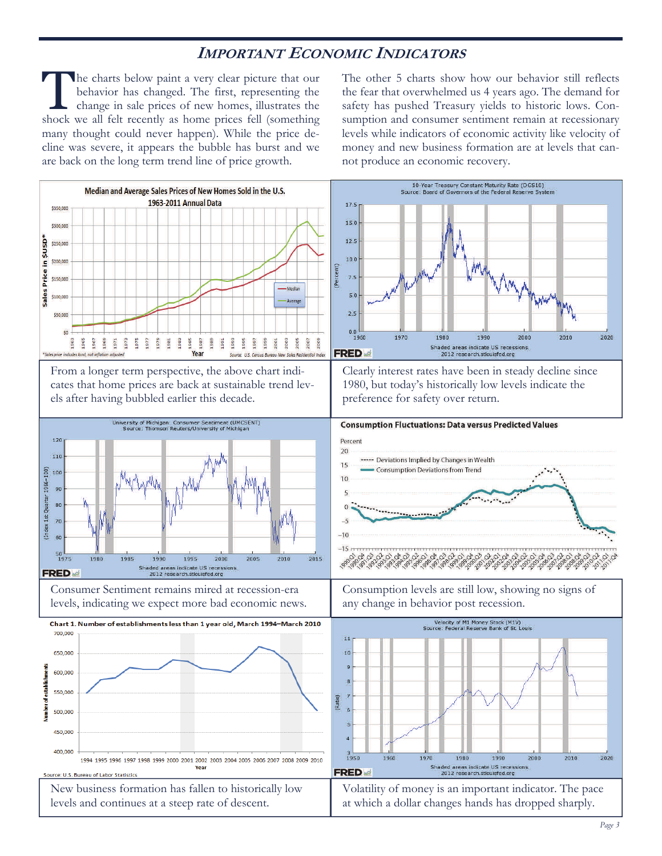## **IMPORTANT ECONOMIC INDICATORS**

The charts below paint a very clear picture that our behavior has changed. The first, representing the change in sale prices of new homes, illustrates the shock we all felt recently as home prices fell (something many thought could never happen). While the price decline was severe, it appears the bubble has burst and we are back on the long term trend line of price growth.

The other 5 charts show how our behavior still reflects the fear that overwhelmed us 4 years ago. The demand for safety has pushed Treasury yields to historic lows. Consumption and consumer sentiment remain at recessionary levels while indicators of economic activity like velocity of money and new business formation are at levels that cannot produce an economic recovery.

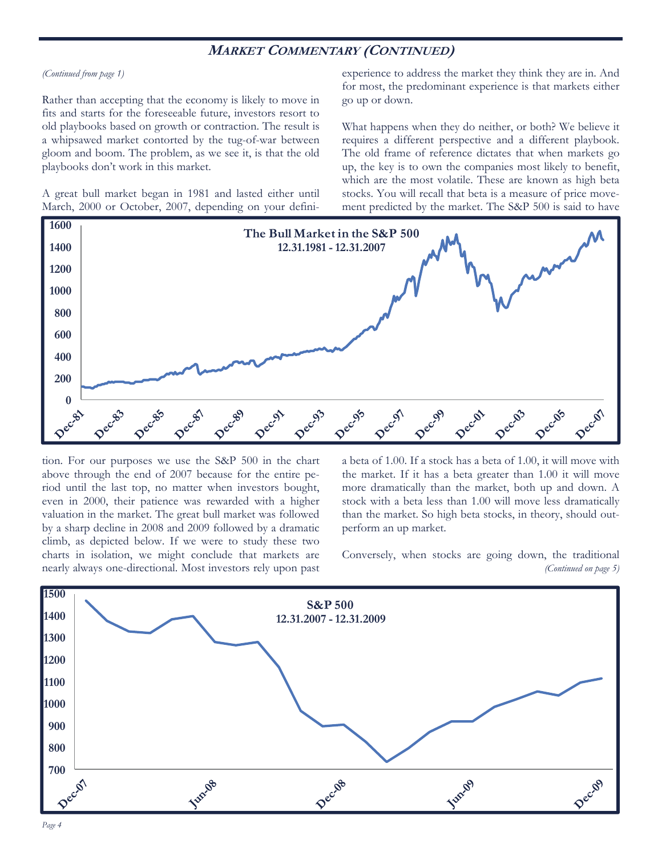## **MARKET COMMENTARY (CONTINUED)**

#### *(Continued from page 1)*

Rather than accepting that the economy is likely to move in fits and starts for the foreseeable future, investors resort to old playbooks based on growth or contraction. The result is a whipsawed market contorted by the tug-of-war between gloom and boom. The problem, as we see it, is that the old playbooks don't work in this market.

A great bull market began in 1981 and lasted either until March, 2000 or October, 2007, depending on your definiexperience to address the market they think they are in. And for most, the predominant experience is that markets either go up or down.

What happens when they do neither, or both? We believe it requires a different perspective and a different playbook. The old frame of reference dictates that when markets go up, the key is to own the companies most likely to benefit, which are the most volatile. These are known as high beta stocks. You will recall that beta is a measure of price movement predicted by the market. The S&P 500 is said to have



tion. For our purposes we use the S&P 500 in the chart above through the end of 2007 because for the entire period until the last top, no matter when investors bought, even in 2000, their patience was rewarded with a higher valuation in the market. The great bull market was followed by a sharp decline in 2008 and 2009 followed by a dramatic climb, as depicted below. If we were to study these two charts in isolation, we might conclude that markets are nearly always one-directional. Most investors rely upon past a beta of 1.00. If a stock has a beta of 1.00, it will move with the market. If it has a beta greater than 1.00 it will move more dramatically than the market, both up and down. A stock with a beta less than 1.00 will move less dramatically than the market. So high beta stocks, in theory, should outperform an up market.

Conversely, when stocks are going down, the traditional *(Continued on page 5)* 

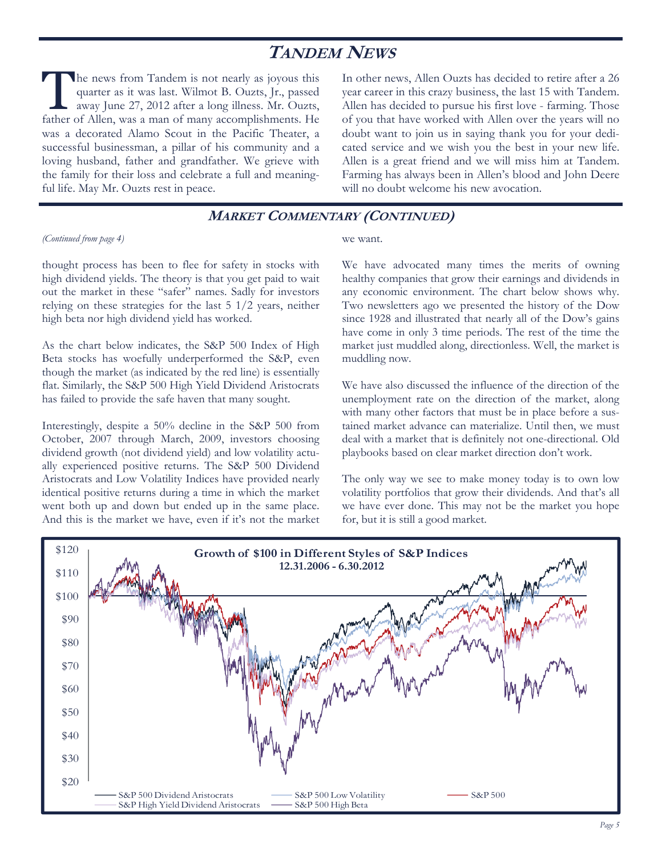# **TANDEM NEWS**

The news from Tandem is not nearly as joyous this quarter as it was last. Wilmot B. Ouzts, Jr., passed away June 27, 2012 after a long illness. Mr. Ouzts, quarter as it was last. Wilmot B. Ouzts, Jr., passed father of Allen, was a man of many accomplishments. He was a decorated Alamo Scout in the Pacific Theater, a successful businessman, a pillar of his community and a loving husband, father and grandfather. We grieve with the family for their loss and celebrate a full and meaningful life. May Mr. Ouzts rest in peace.

In other news, Allen Ouzts has decided to retire after a 26 year career in this crazy business, the last 15 with Tandem. Allen has decided to pursue his first love - farming. Those of you that have worked with Allen over the years will no doubt want to join us in saying thank you for your dedicated service and we wish you the best in your new life. Allen is a great friend and we will miss him at Tandem. Farming has always been in Allen's blood and John Deere will no doubt welcome his new avocation.

## **MARKET COMMENTARY (CONTINUED)**

#### *(Continued from page 4)*

thought process has been to flee for safety in stocks with high dividend yields. The theory is that you get paid to wait out the market in these "safer" names. Sadly for investors relying on these strategies for the last 5 1/2 years, neither high beta nor high dividend yield has worked.

As the chart below indicates, the S&P 500 Index of High Beta stocks has woefully underperformed the S&P, even though the market (as indicated by the red line) is essentially flat. Similarly, the S&P 500 High Yield Dividend Aristocrats has failed to provide the safe haven that many sought.

Interestingly, despite a 50% decline in the S&P 500 from October, 2007 through March, 2009, investors choosing dividend growth (not dividend yield) and low volatility actually experienced positive returns. The S&P 500 Dividend Aristocrats and Low Volatility Indices have provided nearly identical positive returns during a time in which the market went both up and down but ended up in the same place. And this is the market we have, even if it's not the market

#### we want.

We have advocated many times the merits of owning healthy companies that grow their earnings and dividends in any economic environment. The chart below shows why. Two newsletters ago we presented the history of the Dow since 1928 and illustrated that nearly all of the Dow's gains have come in only 3 time periods. The rest of the time the market just muddled along, directionless. Well, the market is muddling now.

We have also discussed the influence of the direction of the unemployment rate on the direction of the market, along with many other factors that must be in place before a sustained market advance can materialize. Until then, we must deal with a market that is definitely not one-directional. Old playbooks based on clear market direction don't work.

The only way we see to make money today is to own low volatility portfolios that grow their dividends. And that's all we have ever done. This may not be the market you hope for, but it is still a good market.